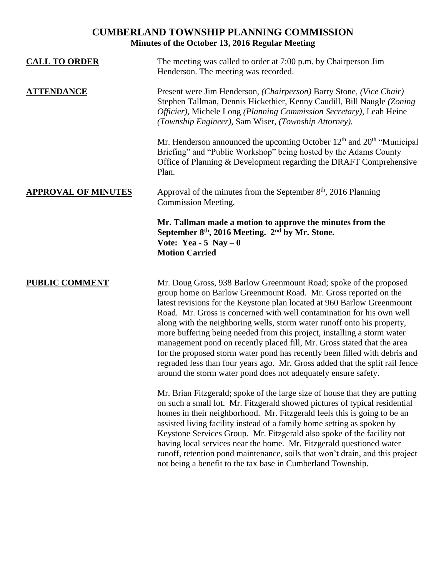# **CUMBERLAND TOWNSHIP PLANNING COMMISSION Minutes of the October 13, 2016 Regular Meeting**

| <b>CALL TO ORDER</b>       | The meeting was called to order at 7:00 p.m. by Chairperson Jim<br>Henderson. The meeting was recorded.                                                                                                                                                                                                                                                                                                                                                                                                                                                                                                                                                                                                                                                   |
|----------------------------|-----------------------------------------------------------------------------------------------------------------------------------------------------------------------------------------------------------------------------------------------------------------------------------------------------------------------------------------------------------------------------------------------------------------------------------------------------------------------------------------------------------------------------------------------------------------------------------------------------------------------------------------------------------------------------------------------------------------------------------------------------------|
| <b>ATTENDANCE</b>          | Present were Jim Henderson, (Chairperson) Barry Stone, (Vice Chair)<br>Stephen Tallman, Dennis Hickethier, Kenny Caudill, Bill Naugle (Zoning<br>Officier), Michele Long (Planning Commission Secretary), Leah Heine<br>(Township Engineer), Sam Wiser, (Township Attorney).                                                                                                                                                                                                                                                                                                                                                                                                                                                                              |
|                            | Mr. Henderson announced the upcoming October $12th$ and $20th$ "Municipal"<br>Briefing" and "Public Workshop" being hosted by the Adams County<br>Office of Planning & Development regarding the DRAFT Comprehensive<br>Plan.                                                                                                                                                                                                                                                                                                                                                                                                                                                                                                                             |
| <b>APPROVAL OF MINUTES</b> | Approval of the minutes from the September 8 <sup>th</sup> , 2016 Planning<br><b>Commission Meeting.</b>                                                                                                                                                                                                                                                                                                                                                                                                                                                                                                                                                                                                                                                  |
|                            | Mr. Tallman made a motion to approve the minutes from the<br>September 8 <sup>th</sup> , 2016 Meeting. 2 <sup>nd</sup> by Mr. Stone.<br>Vote: Yea - 5 Nay $-0$<br><b>Motion Carried</b>                                                                                                                                                                                                                                                                                                                                                                                                                                                                                                                                                                   |
| <b>PUBLIC COMMENT</b>      | Mr. Doug Gross, 938 Barlow Greenmount Road; spoke of the proposed<br>group home on Barlow Greenmount Road. Mr. Gross reported on the<br>latest revisions for the Keystone plan located at 960 Barlow Greenmount<br>Road. Mr. Gross is concerned with well contamination for his own well<br>along with the neighboring wells, storm water runoff onto his property,<br>more buffering being needed from this project, installing a storm water<br>management pond on recently placed fill, Mr. Gross stated that the area<br>for the proposed storm water pond has recently been filled with debris and<br>regraded less than four years ago. Mr. Gross added that the split rail fence<br>around the storm water pond does not adequately ensure safety. |
|                            | Mr. Brian Fitzgerald; spoke of the large size of house that they are putting<br>on such a small lot. Mr. Fitzgerald showed pictures of typical residential<br>homes in their neighborhood. Mr. Fitzgerald feels this is going to be an<br>assisted living facility instead of a family home setting as spoken by<br>Keystone Services Group. Mr. Fitzgerald also spoke of the facility not<br>having local services near the home. Mr. Fitzgerald questioned water<br>runoff, retention pond maintenance, soils that won't drain, and this project<br>not being a benefit to the tax base in Cumberland Township.                                                                                                                                         |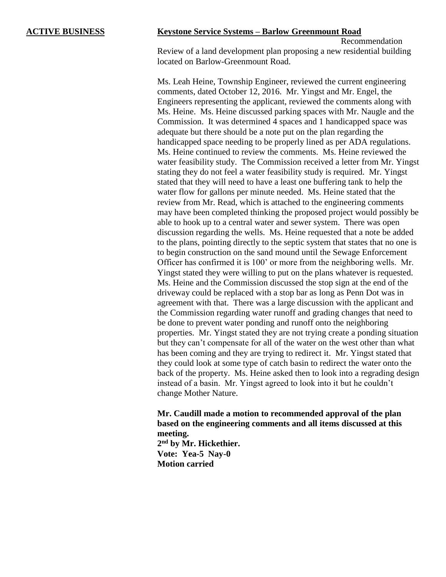# **ACTIVE BUSINESS Keystone Service Systems – Barlow Greenmount Road**

Recommendation Review of a land development plan proposing a new residential building located on Barlow-Greenmount Road.

Ms. Leah Heine, Township Engineer, reviewed the current engineering comments, dated October 12, 2016. Mr. Yingst and Mr. Engel, the Engineers representing the applicant, reviewed the comments along with Ms. Heine. Ms. Heine discussed parking spaces with Mr. Naugle and the Commission. It was determined 4 spaces and 1 handicapped space was adequate but there should be a note put on the plan regarding the handicapped space needing to be properly lined as per ADA regulations. Ms. Heine continued to review the comments. Ms. Heine reviewed the water feasibility study. The Commission received a letter from Mr. Yingst stating they do not feel a water feasibility study is required. Mr. Yingst stated that they will need to have a least one buffering tank to help the water flow for gallons per minute needed. Ms. Heine stated that the review from Mr. Read, which is attached to the engineering comments may have been completed thinking the proposed project would possibly be able to hook up to a central water and sewer system. There was open discussion regarding the wells. Ms. Heine requested that a note be added to the plans, pointing directly to the septic system that states that no one is to begin construction on the sand mound until the Sewage Enforcement Officer has confirmed it is 100' or more from the neighboring wells. Mr. Yingst stated they were willing to put on the plans whatever is requested. Ms. Heine and the Commission discussed the stop sign at the end of the driveway could be replaced with a stop bar as long as Penn Dot was in agreement with that. There was a large discussion with the applicant and the Commission regarding water runoff and grading changes that need to be done to prevent water ponding and runoff onto the neighboring properties. Mr. Yingst stated they are not trying create a ponding situation but they can't compensate for all of the water on the west other than what has been coming and they are trying to redirect it. Mr. Yingst stated that they could look at some type of catch basin to redirect the water onto the back of the property. Ms. Heine asked then to look into a regrading design instead of a basin. Mr. Yingst agreed to look into it but he couldn't change Mother Nature.

# **Mr. Caudill made a motion to recommended approval of the plan based on the engineering comments and all items discussed at this meeting.**

**2 nd by Mr. Hickethier. Vote: Yea-5 Nay-0 Motion carried**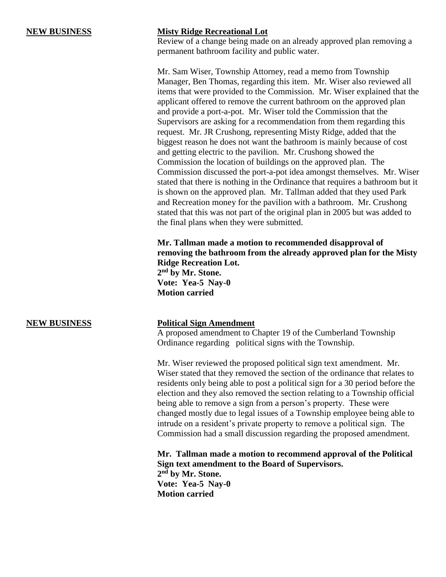# **NEW BUSINESS Misty Ridge Recreational Lot**

Review of a change being made on an already approved plan removing a permanent bathroom facility and public water.

Mr. Sam Wiser, Township Attorney, read a memo from Township Manager, Ben Thomas, regarding this item. Mr. Wiser also reviewed all items that were provided to the Commission. Mr. Wiser explained that the applicant offered to remove the current bathroom on the approved plan and provide a port-a-pot. Mr. Wiser told the Commission that the Supervisors are asking for a recommendation from them regarding this request. Mr. JR Crushong, representing Misty Ridge, added that the biggest reason he does not want the bathroom is mainly because of cost and getting electric to the pavilion. Mr. Crushong showed the Commission the location of buildings on the approved plan. The Commission discussed the port-a-pot idea amongst themselves. Mr. Wiser stated that there is nothing in the Ordinance that requires a bathroom but it is shown on the approved plan. Mr. Tallman added that they used Park and Recreation money for the pavilion with a bathroom. Mr. Crushong stated that this was not part of the original plan in 2005 but was added to the final plans when they were submitted.

**Mr. Tallman made a motion to recommended disapproval of removing the bathroom from the already approved plan for the Misty Ridge Recreation Lot. 2 nd by Mr. Stone. Vote: Yea-5 Nay-0 Motion carried**

### **NEW BUSINESS Political Sign Amendment**

A proposed amendment to Chapter 19 of the Cumberland Township Ordinance regarding political signs with the Township.

Mr. Wiser reviewed the proposed political sign text amendment. Mr. Wiser stated that they removed the section of the ordinance that relates to residents only being able to post a political sign for a 30 period before the election and they also removed the section relating to a Township official being able to remove a sign from a person's property. These were changed mostly due to legal issues of a Township employee being able to intrude on a resident's private property to remove a political sign. The Commission had a small discussion regarding the proposed amendment.

**Mr. Tallman made a motion to recommend approval of the Political Sign text amendment to the Board of Supervisors. 2 nd by Mr. Stone. Vote: Yea-5 Nay-0 Motion carried**